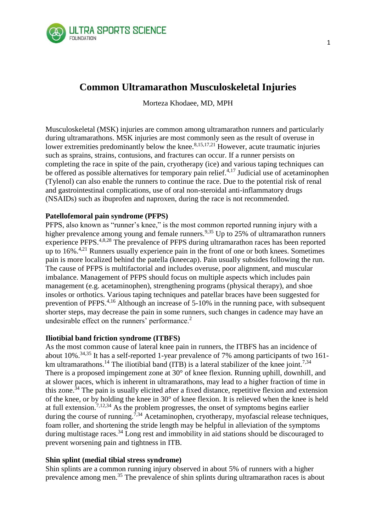

# **Common Ultramarathon Musculoskeletal Injuries**

Morteza Khodaee, MD, MPH

Musculoskeletal (MSK) injuries are common among ultramarathon runners and particularly during ultramarathons. MSK injuries are most commonly seen as the result of overuse in lower extremities predominantly below the knee.  $8,15,17,21$  However, acute traumatic injuries such as sprains, strains, contusions, and fractures can occur. If a runner persists on completing the race in spite of the pain, cryotherapy (ice) and various taping techniques can be offered as possible alternatives for temporary pain relief.<sup> $4,17$ </sup> Judicial use of acetaminophen (Tylenol) can also enable the runners to continue the race. Due to the potential risk of renal and gastrointestinal complications, use of oral non-steroidal anti-inflammatory drugs (NSAIDs) such as ibuprofen and naproxen, during the race is not recommended.

# **Patellofemoral pain syndrome (PFPS)**

PFPS, also known as "runner's knee," is the most common reported running injury with a higher prevalence among young and female runners.<sup>9,35</sup> Up to 25% of ultramarathon runners experience PFPS.4,8,28 The prevalence of PFPS during ultramarathon races has been reported up to 16%.4,21 Runners usually experience pain in the front of one or both knees. Sometimes pain is more localized behind the patella (kneecap). Pain usually subsides following the run. The cause of PFPS is multifactorial and includes overuse, poor alignment, and muscular imbalance. Management of PFPS should focus on multiple aspects which includes pain management (e.g. acetaminophen), strengthening programs (physical therapy), and shoe insoles or orthotics. Various taping techniques and patellar braces have been suggested for prevention of PFPS.4,16 Although an increase of 5-10% in the running pace, with subsequent shorter steps, may decrease the pain in some runners, such changes in cadence may have an undesirable effect on the runners' performance.<sup>2</sup>

# **Iliotibial band friction syndrome (ITBFS)**

As the most common cause of lateral knee pain in runners, the ITBFS has an incidence of about 10%.34,35 It has a self-reported 1-year prevalence of 7% among participants of two 161 km ultramarathons.<sup>14</sup> The iliotibial band (ITB) is a lateral stabilizer of the knee joint.<sup>7,34</sup> There is a proposed impingement zone at 30° of knee flexion. Running uphill, downhill, and at slower paces, which is inherent in ultramarathons, may lead to a higher fraction of time in this zone.<sup>34</sup> The pain is usually elicited after a fixed distance, repetitive flexion and extension of the knee, or by holding the knee in 30° of knee flexion. It is relieved when the knee is held at full extension.7,12,34 As the problem progresses, the onset of symptoms begins earlier during the course of running.<sup>7,34</sup> Acetaminophen, cryotherapy, myofascial release techniques, foam roller, and shortening the stride length may be helpful in alleviation of the symptoms during multistage races.<sup>34</sup> Long rest and immobility in aid stations should be discouraged to prevent worsening pain and tightness in ITB.

# **Shin splint (medial tibial stress syndrome)**

Shin splints are a common running injury observed in about 5% of runners with a higher prevalence among men.<sup>35</sup> The prevalence of shin splints during ultramarathon races is about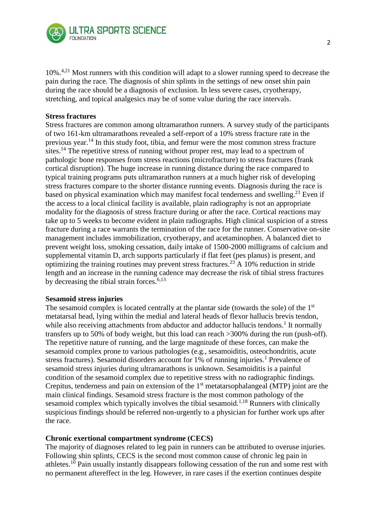

10%<sup>4,21</sup> Most runners with this condition will adapt to a slower running speed to decrease the pain during the race. The diagnosis of shin splints in the settings of new onset shin pain during the race should be a diagnosis of exclusion. In less severe cases, cryotherapy, stretching, and topical analgesics may be of some value during the race intervals.

## **Stress fractures**

Stress fractures are common among ultramarathon runners. A survey study of the participants of two 161-km ultramarathons revealed a self-report of a 10% stress fracture rate in the previous year.<sup>14</sup> In this study foot, tibia, and femur were the most common stress fracture sites.<sup>14</sup> The repetitive stress of running without proper rest, may lead to a spectrum of pathologic bone responses from stress reactions (microfracture) to stress fractures (frank cortical disruption). The huge increase in running distance during the race compared to typical training programs puts ultramarathon runners at a much higher risk of developing stress fractures compare to the shorter distance running events. Diagnosis during the race is based on physical examination which may manifest focal tenderness and swelling.<sup>23</sup> Even if the access to a local clinical facility is available, plain radiography is not an appropriate modality for the diagnosis of stress fracture during or after the race. Cortical reactions may take up to 5 weeks to become evident in plain radiographs. High clinical suspicion of a stress fracture during a race warrants the termination of the race for the runner. Conservative on-site management includes immobilization, cryotherapy, and acetaminophen. A balanced diet to prevent weight loss, smoking cessation, daily intake of 1500-2000 milligrams of calcium and supplemental vitamin D, arch supports particularly if flat feet (pes planus) is present, and optimizing the training routines may prevent stress fractures.<sup>23</sup> A 10% reduction in stride length and an increase in the running cadence may decrease the risk of tibial stress fractures by decreasing the tibial strain forces.  $6,13$ 

### **Sesamoid stress injuries**

The sesamoid complex is located centrally at the plantar side (towards the sole) of the 1<sup>st</sup> metatarsal head, lying within the medial and lateral heads of flexor hallucis brevis tendon, while also receiving attachments from abductor and adductor hallucis tendons.<sup>1</sup> It normally transfers up to 50% of body weight, but this load can reach >300% during the run (push-off). The repetitive nature of running, and the large magnitude of these forces, can make the sesamoid complex prone to various pathologies (e.g., sesamoiditis, osteochondritis, acute stress fractures). Sesamoid disorders account for 1% of running injuries.<sup>1</sup> Prevalence of sesamoid stress injuries during ultramarathons is unknown. Sesamoiditis is a painful condition of the sesamoid complex due to repetitive stress with no radiographic findings. Crepitus, tenderness and pain on extension of the 1<sup>st</sup> metatarsophalangeal (MTP) joint are the main clinical findings. Sesamoid stress fracture is the most common pathology of the sesamoid complex which typically involves the tibial sesamoid.<sup>1,18</sup> Runners with clinically suspicious findings should be referred non-urgently to a physician for further work ups after the race.

# **Chronic exertional compartment syndrome (CECS)**

The majority of diagnoses related to leg pain in runners can be attributed to overuse injuries. Following shin splints, CECS is the second most common cause of chronic leg pain in athletes.<sup>10</sup> Pain usually instantly disappears following cessation of the run and some rest with no permanent aftereffect in the leg. However, in rare cases if the exertion continues despite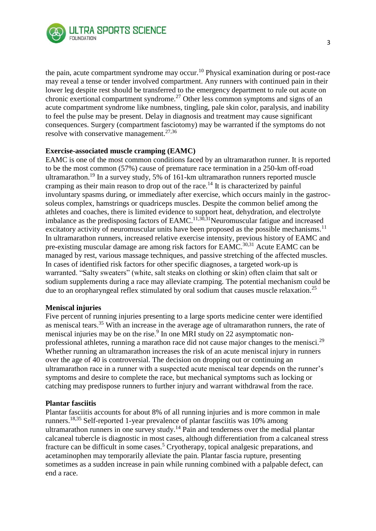

the pain, acute compartment syndrome may occur.<sup>10</sup> Physical examination during or post-race may reveal a tense or tender involved compartment. Any runners with continued pain in their lower leg despite rest should be transferred to the emergency department to rule out acute on chronic exertional compartment syndrome.<sup>27</sup> Other less common symptoms and signs of an acute compartment syndrome like numbness, tingling, pale skin color, paralysis, and inability to feel the pulse may be present. Delay in diagnosis and treatment may cause significant consequences. Surgery (compartment fasciotomy) may be warranted if the symptoms do not resolve with conservative management.<sup>27,36</sup>

## **Exercise-associated muscle cramping (EAMC)**

EAMC is one of the most common conditions faced by an ultramarathon runner. It is reported to be the most common (57%) cause of premature race termination in a 250-km off-road ultramarathon.<sup>19</sup> In a survey study, 5% of 161-km ultramarathon runners reported muscle cramping as their main reason to drop out of the race.<sup>14</sup> It is characterized by painful involuntary spasms during, or immediately after exercise, which occurs mainly in the gastrocsoleus complex, hamstrings or quadriceps muscles. Despite the common belief among the athletes and coaches, there is limited evidence to support heat, dehydration, and electrolyte imbalance as the predisposing factors of  $EAMC$ <sup>11,30,31</sup>Neuromuscular fatigue and increased excitatory activity of neuromuscular units have been proposed as the possible mechanisms.<sup>11</sup> In ultramarathon runners, increased relative exercise intensity, previous history of EAMC and pre-existing muscular damage are among risk factors for EAMC.<sup>30,31</sup> Acute EAMC can be managed by rest, various massage techniques, and passive stretching of the affected muscles. In cases of identified risk factors for other specific diagnoses, a targeted work-up is warranted. "Salty sweaters" (white, salt steaks on clothing or skin) often claim that salt or sodium supplements during a race may alleviate cramping. The potential mechanism could be due to an oropharyngeal reflex stimulated by oral sodium that causes muscle relaxation.<sup>25</sup>

### **Meniscal injuries**

Five percent of running injuries presenting to a large sports medicine center were identified as meniscal tears.<sup>35</sup> With an increase in the average age of ultramarathon runners, the rate of meniscal injuries may be on the rise. $9$  In one MRI study on 22 asymptomatic nonprofessional athletes, running a marathon race did not cause major changes to the menisci.<sup>29</sup> Whether running an ultramarathon increases the risk of an acute meniscal injury in runners over the age of 40 is controversial. The decision on dropping out or continuing an ultramarathon race in a runner with a suspected acute meniscal tear depends on the runner's symptoms and desire to complete the race, but mechanical symptoms such as locking or catching may predispose runners to further injury and warrant withdrawal from the race.

### **Plantar fasciitis**

Plantar fasciitis accounts for about 8% of all running injuries and is more common in male runners.18,35 Self-reported 1-year prevalence of plantar fasciitis was 10% among ultramarathon runners in one survey study.<sup>14</sup> Pain and tenderness over the medial plantar calcaneal tubercle is diagnostic in most cases, although differentiation from a calcaneal stress fracture can be difficult in some cases.<sup>5</sup> Cryotherapy, topical analgesic preparations, and acetaminophen may temporarily alleviate the pain. Plantar fascia rupture, presenting sometimes as a sudden increase in pain while running combined with a palpable defect, can end a race.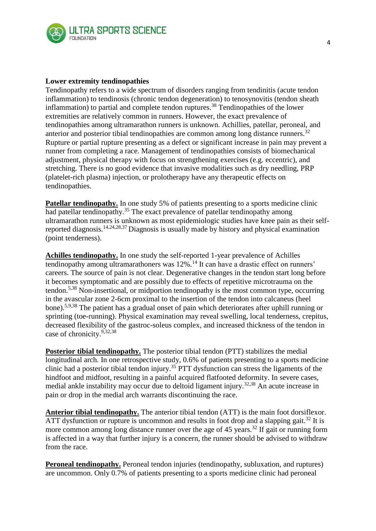

## **Lower extremity tendinopathies**

Tendinopathy refers to a wide spectrum of disorders ranging from tendinitis (acute tendon inflammation) to tendinosis (chronic tendon degeneration) to tenosynovitis (tendon sheath inflammation) to partial and complete tendon ruptures.<sup>38</sup> Tendinopathies of the lower extremities are relatively common in runners. However, the exact prevalence of tendinopathies among ultramarathon runners is unknown. Achillies, patellar, peroneal, and anterior and posterior tibial tendinopathies are common among long distance runners.<sup>32</sup> Rupture or partial rupture presenting as a defect or significant increase in pain may prevent a runner from completing a race. Management of tendinopathies consists of biomechanical adjustment, physical therapy with focus on strengthening exercises (e.g. eccentric), and stretching. There is no good evidence that invasive modalities such as dry needling, PRP (platelet-rich plasma) injection, or prolotherapy have any therapeutic effects on tendinopathies.

**Patellar tendinopathy.** In one study 5% of patients presenting to a sports medicine clinic had patellar tendinopathy.<sup>35</sup> The exact prevalence of patellar tendinopathy among ultramarathon runners is unknown as most epidemiologic studies have knee pain as their selfreported diagnosis.14,24,28,37 Diagnosis is usually made by history and physical examination (point tenderness).

**Achilles tendinopathy.** In one study the self-reported 1-year prevalence of Achilles tendinopathy among ultramarathoners was  $12\%$ .<sup>14</sup> It can have a drastic effect on runners' careers. The source of pain is not clear. Degenerative changes in the tendon start long before it becomes symptomatic and are possibly due to effects of repetitive microtrauma on the tendon.5,38 Non-insertional, or midportion tendinopathy is the most common type, occurring in the avascular zone 2-6cm proximal to the insertion of the tendon into calcaneus (heel bone).5,9,38 The patient has a gradual onset of pain which deteriorates after uphill running or sprinting (toe-running). Physical examination may reveal swelling, local tenderness, crepitus, decreased flexibility of the gastroc-soleus complex, and increased thickness of the tendon in case of chronicity.9,32,38

**Posterior tibial tendinopathy.** The posterior tibial tendon (PTT) stabilizes the medial longitudinal arch. In one retrospective study, 0.6% of patients presenting to a sports medicine clinic had a posterior tibial tendon injury.<sup>35</sup> PTT dysfunction can stress the ligaments of the hindfoot and midfoot, resulting in a painful acquired flatfooted deformity. In severe cases, medial ankle instability may occur due to deltoid ligament injury.32,38 An acute increase in pain or drop in the medial arch warrants discontinuing the race.

**Anterior tibial tendinopathy.** The anterior tibial tendon (ATT) is the main foot dorsiflexor. ATT dysfunction or rupture is uncommon and results in foot drop and a slapping gait.<sup>32</sup> It is more common among long distance runner over the age of 45 years.<sup>32</sup> If gait or running form is affected in a way that further injury is a concern, the runner should be advised to withdraw from the race.

**Peroneal tendinopathy.** Peroneal tendon injuries (tendinopathy, subluxation, and ruptures) are uncommon. Only 0.7% of patients presenting to a sports medicine clinic had peroneal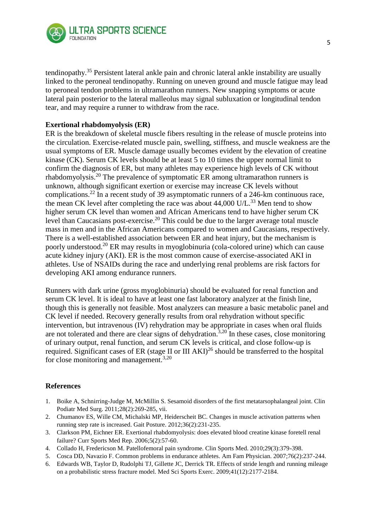

tendinopathy.<sup>35</sup> Persistent lateral ankle pain and chronic lateral ankle instability are usually linked to the peroneal tendinopathy. Running on uneven ground and muscle fatigue may lead to peroneal tendon problems in ultramarathon runners. New snapping symptoms or acute lateral pain posterior to the lateral malleolus may signal subluxation or longitudinal tendon tear, and may require a runner to withdraw from the race.

# **Exertional rhabdomyolysis (ER)**

ER is the breakdown of skeletal muscle fibers resulting in the release of muscle proteins into the circulation. Exercise-related muscle pain, swelling, stiffness, and muscle weakness are the usual symptoms of ER. Muscle damage usually becomes evident by the elevation of creatine kinase (CK). Serum CK levels should be at least 5 to 10 times the upper normal limit to confirm the diagnosis of ER, but many athletes may experience high levels of CK without rhabdomyolysis.<sup>20</sup> The prevalence of symptomatic ER among ultramarathon runners is unknown, although significant exertion or exercise may increase CK levels without complications.<sup>22</sup> In a recent study of 39 asymptomatic runners of a 246-km continuous race, the mean CK level after completing the race was about  $44,000$  U/L.<sup>33</sup> Men tend to show higher serum CK level than women and African Americans tend to have higher serum CK level than Caucasians post-exercise.<sup>20</sup> This could be due to the larger average total muscle mass in men and in the African Americans compared to women and Caucasians, respectively. There is a well-established association between ER and heat injury, but the mechanism is poorly understood.<sup>20</sup> ER may results in myoglobinuria (cola-colored urine) which can cause acute kidney injury (AKI). ER is the most common cause of exercise-associated AKI in athletes. Use of NSAIDs during the race and underlying renal problems are risk factors for developing AKI among endurance runners.

Runners with dark urine (gross myoglobinuria) should be evaluated for renal function and serum CK level. It is ideal to have at least one fast laboratory analyzer at the finish line, though this is generally not feasible. Most analyzers can measure a basic metabolic panel and CK level if needed. Recovery generally results from oral rehydration without specific intervention, but intravenous (IV) rehydration may be appropriate in cases when oral fluids are not tolerated and there are clear signs of dehydration.<sup>3,20</sup> In these cases, close monitoring of urinary output, renal function, and serum CK levels is critical, and close follow-up is required. Significant cases of ER (stage II or III AKI)<sup>26</sup> should be transferred to the hospital for close monitoring and management.<sup>3,20</sup>

# **References**

- 1. Boike A, Schnirring-Judge M, McMillin S. Sesamoid disorders of the first metatarsophalangeal joint. Clin Podiatr Med Surg. 2011;28(2):269-285, vii.
- 2. Chumanov ES, Wille CM, Michalski MP, Heiderscheit BC. Changes in muscle activation patterns when running step rate is increased. Gait Posture. 2012;36(2):231-235.
- 3. Clarkson PM, Eichner ER. Exertional rhabdomyolysis: does elevated blood creatine kinase foretell renal failure? Curr Sports Med Rep. 2006;5(2):57-60.
- 4. Collado H, Fredericson M. Patellofemoral pain syndrome. Clin Sports Med. 2010;29(3):379-398.
- 5. Cosca DD, Navazio F. Common problems in endurance athletes. Am Fam Physician. 2007;76(2):237-244.
- 6. Edwards WB, Taylor D, Rudolphi TJ, Gillette JC, Derrick TR. Effects of stride length and running mileage on a probabilistic stress fracture model. Med Sci Sports Exerc. 2009;41(12):2177-2184.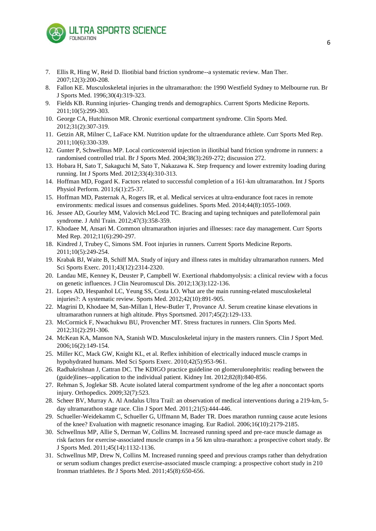

- 7. Ellis R, Hing W, Reid D. Iliotibial band friction syndrome--a systematic review. Man Ther. 2007;12(3):200-208.
- 8. Fallon KE. Musculoskeletal injuries in the ultramarathon: the 1990 Westfield Sydney to Melbourne run. Br J Sports Med. 1996;30(4):319-323.
- 9. Fields KB. Running injuries- Changing trends and demographics. Current Sports Medicine Reports. 2011;10(5):299-303.
- 10. George CA, Hutchinson MR. Chronic exertional compartment syndrome. Clin Sports Med. 2012;31(2):307-319.
- 11. Getzin AR, Milner C, LaFace KM. Nutrition update for the ultraendurance athlete. Curr Sports Med Rep. 2011;10(6):330-339.
- 12. Gunter P, Schwellnus MP. Local corticosteroid injection in iliotibial band friction syndrome in runners: a randomised controlled trial. Br J Sports Med. 2004;38(3):269-272; discussion 272.
- 13. Hobara H, Sato T, Sakaguchi M, Sato T, Nakazawa K. Step frequency and lower extremity loading during running. Int J Sports Med. 2012;33(4):310-313.
- 14. Hoffman MD, Fogard K. Factors related to successful completion of a 161-km ultramarathon. Int J Sports Physiol Perform. 2011;6(1):25-37.
- 15. Hoffman MD, Pasternak A, Rogers IR, et al. Medical services at ultra-endurance foot races in remote environments: medical issues and consensus guidelines. Sports Med. 2014;44(8):1055-1069.
- 16. Jessee AD, Gourley MM, Valovich McLeod TC. Bracing and taping techniques and patellofemoral pain syndrome. J Athl Train. 2012;47(3):358-359.
- 17. Khodaee M, Ansari M. Common ultramarathon injuries and illnesses: race day management. Curr Sports Med Rep. 2012;11(6):290-297.
- 18. Kindred J, Trubey C, Simons SM. Foot injuries in runners. Current Sports Medicine Reports. 2011;10(5):249-254.
- 19. Krabak BJ, Waite B, Schiff MA. Study of injury and illness rates in multiday ultramarathon runners. Med Sci Sports Exerc. 2011;43(12):2314-2320.
- 20. Landau ME, Kenney K, Deuster P, Campbell W. Exertional rhabdomyolysis: a clinical review with a focus on genetic influences. J Clin Neuromuscul Dis. 2012;13(3):122-136.
- 21. Lopes AD, Hespanhol LC, Yeung SS, Costa LO. What are the main running-related musculoskeletal injuries?: A systematic review. Sports Med. 2012;42(10):891-905.
- 22. Magrini D, Khodaee M, San-Millan I, Hew-Butler T, Provance AJ. Serum creatine kinase elevations in ultramarathon runners at high altitude. Phys Sportsmed. 2017;45(2):129-133.
- 23. McCormick F, Nwachukwu BU, Provencher MT. Stress fractures in runners. Clin Sports Med. 2012;31(2):291-306.
- 24. McKean KA, Manson NA, Stanish WD. Musculoskeletal injury in the masters runners. Clin J Sport Med. 2006;16(2):149-154.
- 25. Miller KC, Mack GW, Knight KL, et al. Reflex inhibition of electrically induced muscle cramps in hypohydrated humans. Med Sci Sports Exerc. 2010;42(5):953-961.
- 26. Radhakrishnan J, Cattran DC. The KDIGO practice guideline on glomerulonephritis: reading between the (guide)lines--application to the individual patient. Kidney Int. 2012;82(8):840-856.
- 27. Rehman S, Joglekar SB. Acute isolated lateral compartment syndrome of the leg after a noncontact sports injury. Orthopedics. 2009;32(7):523.
- 28. Scheer BV, Murray A. Al Andalus Ultra Trail: an observation of medical interventions during a 219-km, 5 day ultramarathon stage race. Clin J Sport Med. 2011;21(5):444-446.
- 29. Schueller-Weidekamm C, Schueller G, Uffmann M, Bader TR. Does marathon running cause acute lesions of the knee? Evaluation with magnetic resonance imaging. Eur Radiol. 2006;16(10):2179-2185.
- 30. Schwellnus MP, Allie S, Derman W, Collins M. Increased running speed and pre-race muscle damage as risk factors for exercise-associated muscle cramps in a 56 km ultra-marathon: a prospective cohort study. Br J Sports Med. 2011;45(14):1132-1136.
- 31. Schwellnus MP, Drew N, Collins M. Increased running speed and previous cramps rather than dehydration or serum sodium changes predict exercise-associated muscle cramping: a prospective cohort study in 210 Ironman triathletes. Br J Sports Med. 2011;45(8):650-656.